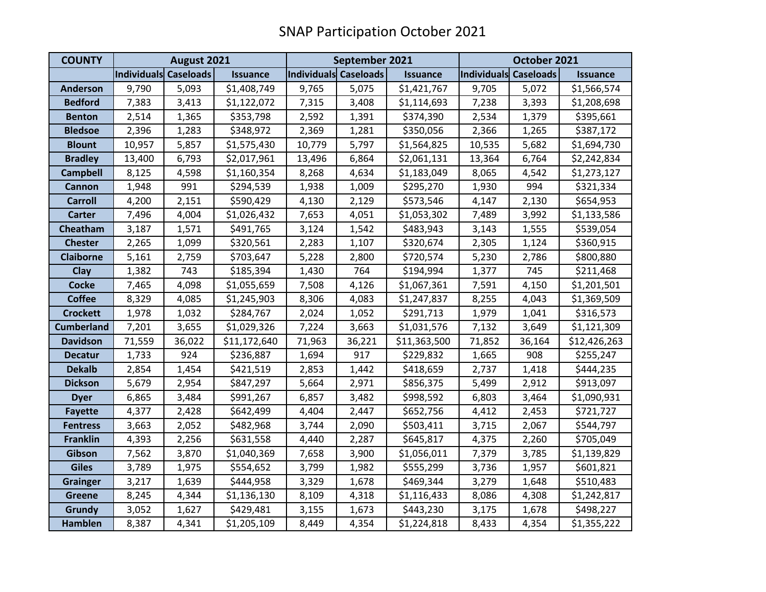| <b>COUNTY</b>     | August 2021           |        |                 | September 2021        |        |                 | October 2021          |        |                 |
|-------------------|-----------------------|--------|-----------------|-----------------------|--------|-----------------|-----------------------|--------|-----------------|
|                   | Individuals Caseloads |        | <b>Issuance</b> | Individuals Caseloads |        | <b>Issuance</b> | Individuals Caseloads |        | <b>Issuance</b> |
| <b>Anderson</b>   | 9,790                 | 5,093  | \$1,408,749     | 9,765                 | 5,075  | \$1,421,767     | 9,705                 | 5,072  | \$1,566,574     |
| <b>Bedford</b>    | 7,383                 | 3,413  | \$1,122,072     | 7,315                 | 3,408  | \$1,114,693     | 7,238                 | 3,393  | \$1,208,698     |
| <b>Benton</b>     | 2,514                 | 1,365  | \$353,798       | 2,592                 | 1,391  | \$374,390       | 2,534                 | 1,379  | \$395,661       |
| <b>Bledsoe</b>    | 2,396                 | 1,283  | \$348,972       | 2,369                 | 1,281  | \$350,056       | 2,366                 | 1,265  | \$387,172       |
| <b>Blount</b>     | 10,957                | 5,857  | \$1,575,430     | 10,779                | 5,797  | \$1,564,825     | 10,535                | 5,682  | \$1,694,730     |
| <b>Bradley</b>    | 13,400                | 6,793  | \$2,017,961     | 13,496                | 6,864  | \$2,061,131     | 13,364                | 6,764  | \$2,242,834     |
| <b>Campbell</b>   | 8,125                 | 4,598  | \$1,160,354     | 8,268                 | 4,634  | \$1,183,049     | 8,065                 | 4,542  | \$1,273,127     |
| <b>Cannon</b>     | 1,948                 | 991    | \$294,539       | 1,938                 | 1,009  | \$295,270       | 1,930                 | 994    | \$321,334       |
| <b>Carroll</b>    | 4,200                 | 2,151  | \$590,429       | 4,130                 | 2,129  | \$573,546       | 4,147                 | 2,130  | \$654,953       |
| <b>Carter</b>     | 7,496                 | 4,004  | \$1,026,432     | 7,653                 | 4,051  | \$1,053,302     | 7,489                 | 3,992  | \$1,133,586     |
| Cheatham          | 3,187                 | 1,571  | \$491,765       | 3,124                 | 1,542  | \$483,943       | 3,143                 | 1,555  | \$539,054       |
| <b>Chester</b>    | 2,265                 | 1,099  | \$320,561       | 2,283                 | 1,107  | \$320,674       | 2,305                 | 1,124  | \$360,915       |
| <b>Claiborne</b>  | 5,161                 | 2,759  | \$703,647       | 5,228                 | 2,800  | \$720,574       | 5,230                 | 2,786  | \$800,880       |
| Clay              | 1,382                 | 743    | \$185,394       | 1,430                 | 764    | \$194,994       | 1,377                 | 745    | \$211,468       |
| <b>Cocke</b>      | 7,465                 | 4,098  | \$1,055,659     | 7,508                 | 4,126  | \$1,067,361     | 7,591                 | 4,150  | \$1,201,501     |
| <b>Coffee</b>     | 8,329                 | 4,085  | \$1,245,903     | 8,306                 | 4,083  | \$1,247,837     | 8,255                 | 4,043  | \$1,369,509     |
| <b>Crockett</b>   | 1,978                 | 1,032  | \$284,767       | 2,024                 | 1,052  | \$291,713       | 1,979                 | 1,041  | \$316,573       |
| <b>Cumberland</b> | 7,201                 | 3,655  | \$1,029,326     | 7,224                 | 3,663  | \$1,031,576     | 7,132                 | 3,649  | \$1,121,309     |
| <b>Davidson</b>   | 71,559                | 36,022 | \$11,172,640    | 71,963                | 36,221 | \$11,363,500    | 71,852                | 36,164 | \$12,426,263    |
| <b>Decatur</b>    | 1,733                 | 924    | \$236,887       | 1,694                 | 917    | \$229,832       | 1,665                 | 908    | \$255,247       |
| <b>Dekalb</b>     | 2,854                 | 1,454  | \$421,519       | 2,853                 | 1,442  | \$418,659       | 2,737                 | 1,418  | \$444,235       |
| <b>Dickson</b>    | 5,679                 | 2,954  | \$847,297       | 5,664                 | 2,971  | \$856,375       | 5,499                 | 2,912  | \$913,097       |
| <b>Dyer</b>       | 6,865                 | 3,484  | \$991,267       | 6,857                 | 3,482  | \$998,592       | 6,803                 | 3,464  | \$1,090,931     |
| <b>Fayette</b>    | 4,377                 | 2,428  | \$642,499       | 4,404                 | 2,447  | \$652,756       | 4,412                 | 2,453  | \$721,727       |
| <b>Fentress</b>   | 3,663                 | 2,052  | \$482,968       | 3,744                 | 2,090  | \$503,411       | 3,715                 | 2,067  | \$544,797       |
| <b>Franklin</b>   | 4,393                 | 2,256  | \$631,558       | 4,440                 | 2,287  | \$645,817       | 4,375                 | 2,260  | \$705,049       |
| Gibson            | 7,562                 | 3,870  | \$1,040,369     | 7,658                 | 3,900  | \$1,056,011     | 7,379                 | 3,785  | \$1,139,829     |
| <b>Giles</b>      | 3,789                 | 1,975  | \$554,652       | 3,799                 | 1,982  | \$555,299       | 3,736                 | 1,957  | \$601,821       |
| <b>Grainger</b>   | 3,217                 | 1,639  | \$444,958       | 3,329                 | 1,678  | \$469,344       | 3,279                 | 1,648  | \$510,483       |
| <b>Greene</b>     | 8,245                 | 4,344  | \$1,136,130     | 8,109                 | 4,318  | \$1,116,433     | 8,086                 | 4,308  | \$1,242,817     |
| <b>Grundy</b>     | 3,052                 | 1,627  | \$429,481       | 3,155                 | 1,673  | \$443,230       | 3,175                 | 1,678  | \$498,227       |
| <b>Hamblen</b>    | 8,387                 | 4,341  | \$1,205,109     | 8,449                 | 4,354  | \$1,224,818     | 8,433                 | 4,354  | \$1,355,222     |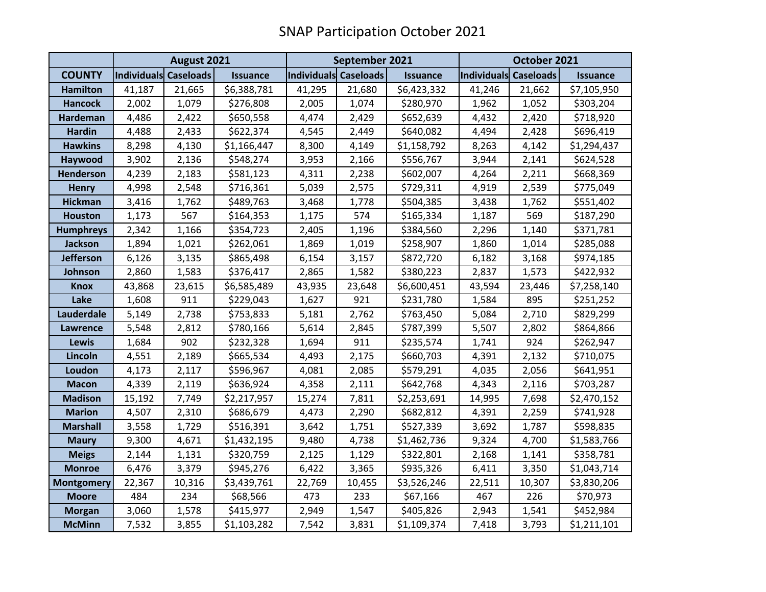|                   | August 2021           |        |                 | September 2021        |        |                 | October 2021          |        |                 |
|-------------------|-----------------------|--------|-----------------|-----------------------|--------|-----------------|-----------------------|--------|-----------------|
| <b>COUNTY</b>     | Individuals Caseloads |        | <b>Issuance</b> | Individuals Caseloads |        | <b>Issuance</b> | Individuals Caseloads |        | <b>Issuance</b> |
| <b>Hamilton</b>   | 41,187                | 21,665 | \$6,388,781     | 41,295                | 21,680 | \$6,423,332     | 41,246                | 21,662 | \$7,105,950     |
| <b>Hancock</b>    | 2,002                 | 1,079  | \$276,808       | 2,005                 | 1,074  | \$280,970       | 1,962                 | 1,052  | \$303,204       |
| <b>Hardeman</b>   | 4,486                 | 2,422  | \$650,558       | 4,474                 | 2,429  | \$652,639       | 4,432                 | 2,420  | \$718,920       |
| <b>Hardin</b>     | 4,488                 | 2,433  | \$622,374       | 4,545                 | 2,449  | \$640,082       | 4,494                 | 2,428  | \$696,419       |
| <b>Hawkins</b>    | 8,298                 | 4,130  | \$1,166,447     | 8,300                 | 4,149  | \$1,158,792     | 8,263                 | 4,142  | \$1,294,437     |
| Haywood           | 3,902                 | 2,136  | \$548,274       | 3,953                 | 2,166  | \$556,767       | 3,944                 | 2,141  | \$624,528       |
| Henderson         | 4,239                 | 2,183  | \$581,123       | 4,311                 | 2,238  | \$602,007       | 4,264                 | 2,211  | \$668,369       |
| <b>Henry</b>      | 4,998                 | 2,548  | \$716,361       | 5,039                 | 2,575  | \$729,311       | 4,919                 | 2,539  | \$775,049       |
| <b>Hickman</b>    | 3,416                 | 1,762  | \$489,763       | 3,468                 | 1,778  | \$504,385       | 3,438                 | 1,762  | \$551,402       |
| <b>Houston</b>    | 1,173                 | 567    | \$164,353       | 1,175                 | 574    | \$165,334       | 1,187                 | 569    | \$187,290       |
| <b>Humphreys</b>  | 2,342                 | 1,166  | \$354,723       | 2,405                 | 1,196  | \$384,560       | 2,296                 | 1,140  | \$371,781       |
| Jackson           | 1,894                 | 1,021  | \$262,061       | 1,869                 | 1,019  | \$258,907       | 1,860                 | 1,014  | \$285,088       |
| <b>Jefferson</b>  | 6,126                 | 3,135  | \$865,498       | 6,154                 | 3,157  | \$872,720       | 6,182                 | 3,168  | \$974,185       |
| Johnson           | 2,860                 | 1,583  | \$376,417       | 2,865                 | 1,582  | \$380,223       | 2,837                 | 1,573  | \$422,932       |
| <b>Knox</b>       | 43,868                | 23,615 | \$6,585,489     | 43,935                | 23,648 | \$6,600,451     | 43,594                | 23,446 | \$7,258,140     |
| Lake              | 1,608                 | 911    | \$229,043       | 1,627                 | 921    | \$231,780       | 1,584                 | 895    | \$251,252       |
| Lauderdale        | 5,149                 | 2,738  | \$753,833       | 5,181                 | 2,762  | \$763,450       | 5,084                 | 2,710  | \$829,299       |
| <b>Lawrence</b>   | 5,548                 | 2,812  | \$780,166       | 5,614                 | 2,845  | \$787,399       | 5,507                 | 2,802  | \$864,866       |
| Lewis             | 1,684                 | 902    | \$232,328       | 1,694                 | 911    | \$235,574       | 1,741                 | 924    | \$262,947       |
| Lincoln           | 4,551                 | 2,189  | \$665,534       | 4,493                 | 2,175  | \$660,703       | 4,391                 | 2,132  | \$710,075       |
| Loudon            | 4,173                 | 2,117  | \$596,967       | 4,081                 | 2,085  | \$579,291       | 4,035                 | 2,056  | \$641,951       |
| <b>Macon</b>      | 4,339                 | 2,119  | \$636,924       | 4,358                 | 2,111  | \$642,768       | 4,343                 | 2,116  | \$703,287       |
| <b>Madison</b>    | 15,192                | 7,749  | \$2,217,957     | 15,274                | 7,811  | \$2,253,691     | 14,995                | 7,698  | \$2,470,152     |
| <b>Marion</b>     | 4,507                 | 2,310  | \$686,679       | 4,473                 | 2,290  | \$682,812       | 4,391                 | 2,259  | \$741,928       |
| <b>Marshall</b>   | 3,558                 | 1,729  | \$516,391       | 3,642                 | 1,751  | \$527,339       | 3,692                 | 1,787  | \$598,835       |
| <b>Maury</b>      | 9,300                 | 4,671  | \$1,432,195     | 9,480                 | 4,738  | \$1,462,736     | 9,324                 | 4,700  | \$1,583,766     |
| <b>Meigs</b>      | 2,144                 | 1,131  | \$320,759       | 2,125                 | 1,129  | \$322,801       | 2,168                 | 1,141  | \$358,781       |
| <b>Monroe</b>     | 6,476                 | 3,379  | \$945,276       | 6,422                 | 3,365  | \$935,326       | 6,411                 | 3,350  | \$1,043,714     |
| <b>Montgomery</b> | 22,367                | 10,316 | \$3,439,761     | 22,769                | 10,455 | \$3,526,246     | 22,511                | 10,307 | \$3,830,206     |
| <b>Moore</b>      | 484                   | 234    | \$68,566        | 473                   | 233    | \$67,166        | 467                   | 226    | \$70,973        |
| <b>Morgan</b>     | 3,060                 | 1,578  | \$415,977       | 2,949                 | 1,547  | \$405,826       | 2,943                 | 1,541  | \$452,984       |
| <b>McMinn</b>     | 7,532                 | 3,855  | \$1,103,282     | 7,542                 | 3,831  | \$1,109,374     | 7,418                 | 3,793  | \$1,211,101     |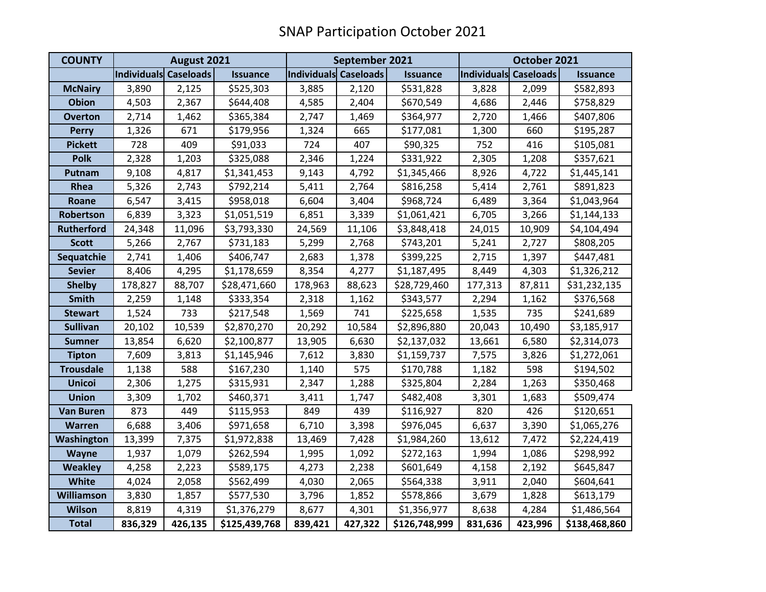| <b>COUNTY</b>     | August 2021           |         |                 | September 2021        |         |                 | October 2021          |         |                 |
|-------------------|-----------------------|---------|-----------------|-----------------------|---------|-----------------|-----------------------|---------|-----------------|
|                   | Individuals Caseloads |         | <b>Issuance</b> | Individuals Caseloads |         | <b>Issuance</b> | Individuals Caseloads |         | <b>Issuance</b> |
| <b>McNairy</b>    | 3,890                 | 2,125   | \$525,303       | 3,885                 | 2,120   | \$531,828       | 3,828                 | 2,099   | \$582,893       |
| <b>Obion</b>      | 4,503                 | 2,367   | \$644,408       | 4,585                 | 2,404   | \$670,549       | 4,686                 | 2,446   | \$758,829       |
| <b>Overton</b>    | 2,714                 | 1,462   | \$365,384       | 2,747                 | 1,469   | \$364,977       | 2,720                 | 1,466   | \$407,806       |
| <b>Perry</b>      | 1,326                 | 671     | \$179,956       | 1,324                 | 665     | \$177,081       | 1,300                 | 660     | \$195,287       |
| <b>Pickett</b>    | 728                   | 409     | \$91,033        | 724                   | 407     | \$90,325        | 752                   | 416     | \$105,081       |
| <b>Polk</b>       | 2,328                 | 1,203   | \$325,088       | 2,346                 | 1,224   | \$331,922       | 2,305                 | 1,208   | \$357,621       |
| Putnam            | 9,108                 | 4,817   | \$1,341,453     | 9,143                 | 4,792   | \$1,345,466     | 8,926                 | 4,722   | \$1,445,141     |
| Rhea              | 5,326                 | 2,743   | \$792,214       | 5,411                 | 2,764   | \$816,258       | 5,414                 | 2,761   | \$891,823       |
| Roane             | 6,547                 | 3,415   | \$958,018       | 6,604                 | 3,404   | \$968,724       | 6,489                 | 3,364   | \$1,043,964     |
| Robertson         | 6,839                 | 3,323   | \$1,051,519     | 6,851                 | 3,339   | \$1,061,421     | 6,705                 | 3,266   | \$1,144,133     |
| <b>Rutherford</b> | 24,348                | 11,096  | \$3,793,330     | 24,569                | 11,106  | \$3,848,418     | 24,015                | 10,909  | \$4,104,494     |
| <b>Scott</b>      | 5,266                 | 2,767   | \$731,183       | 5,299                 | 2,768   | \$743,201       | 5,241                 | 2,727   | \$808,205       |
| Sequatchie        | 2,741                 | 1,406   | \$406,747       | 2,683                 | 1,378   | \$399,225       | 2,715                 | 1,397   | \$447,481       |
| <b>Sevier</b>     | 8,406                 | 4,295   | \$1,178,659     | 8,354                 | 4,277   | \$1,187,495     | 8,449                 | 4,303   | \$1,326,212     |
| <b>Shelby</b>     | 178,827               | 88,707  | \$28,471,660    | 178,963               | 88,623  | \$28,729,460    | 177,313               | 87,811  | \$31,232,135    |
| <b>Smith</b>      | 2,259                 | 1,148   | \$333,354       | 2,318                 | 1,162   | \$343,577       | 2,294                 | 1,162   | \$376,568       |
| <b>Stewart</b>    | 1,524                 | 733     | \$217,548       | 1,569                 | 741     | \$225,658       | 1,535                 | 735     | \$241,689       |
| <b>Sullivan</b>   | 20,102                | 10,539  | \$2,870,270     | 20,292                | 10,584  | \$2,896,880     | 20,043                | 10,490  | \$3,185,917     |
| <b>Sumner</b>     | 13,854                | 6,620   | \$2,100,877     | 13,905                | 6,630   | \$2,137,032     | 13,661                | 6,580   | \$2,314,073     |
| <b>Tipton</b>     | 7,609                 | 3,813   | \$1,145,946     | 7,612                 | 3,830   | \$1,159,737     | 7,575                 | 3,826   | \$1,272,061     |
| <b>Trousdale</b>  | 1,138                 | 588     | \$167,230       | 1,140                 | 575     | \$170,788       | 1,182                 | 598     | \$194,502       |
| <b>Unicoi</b>     | 2,306                 | 1,275   | \$315,931       | 2,347                 | 1,288   | \$325,804       | 2,284                 | 1,263   | \$350,468       |
| <b>Union</b>      | 3,309                 | 1,702   | \$460,371       | 3,411                 | 1,747   | \$482,408       | 3,301                 | 1,683   | \$509,474       |
| <b>Van Buren</b>  | 873                   | 449     | \$115,953       | 849                   | 439     | \$116,927       | 820                   | 426     | \$120,651       |
| Warren            | 6,688                 | 3,406   | \$971,658       | 6,710                 | 3,398   | \$976,045       | 6,637                 | 3,390   | \$1,065,276     |
| Washington        | 13,399                | 7,375   | \$1,972,838     | 13,469                | 7,428   | \$1,984,260     | 13,612                | 7,472   | \$2,224,419     |
| Wayne             | 1,937                 | 1,079   | \$262,594       | 1,995                 | 1,092   | \$272,163       | 1,994                 | 1,086   | \$298,992       |
| <b>Weakley</b>    | 4,258                 | 2,223   | \$589,175       | 4,273                 | 2,238   | \$601,649       | 4,158                 | 2,192   | \$645,847       |
| White             | 4,024                 | 2,058   | \$562,499       | 4,030                 | 2,065   | \$564,338       | 3,911                 | 2,040   | \$604,641       |
| <b>Williamson</b> | 3,830                 | 1,857   | \$577,530       | 3,796                 | 1,852   | \$578,866       | 3,679                 | 1,828   | \$613,179       |
| <b>Wilson</b>     | 8,819                 | 4,319   | \$1,376,279     | 8,677                 | 4,301   | \$1,356,977     | 8,638                 | 4,284   | \$1,486,564     |
| <b>Total</b>      | 836,329               | 426,135 | \$125,439,768   | 839,421               | 427,322 | \$126,748,999   | 831,636               | 423,996 | \$138,468,860   |